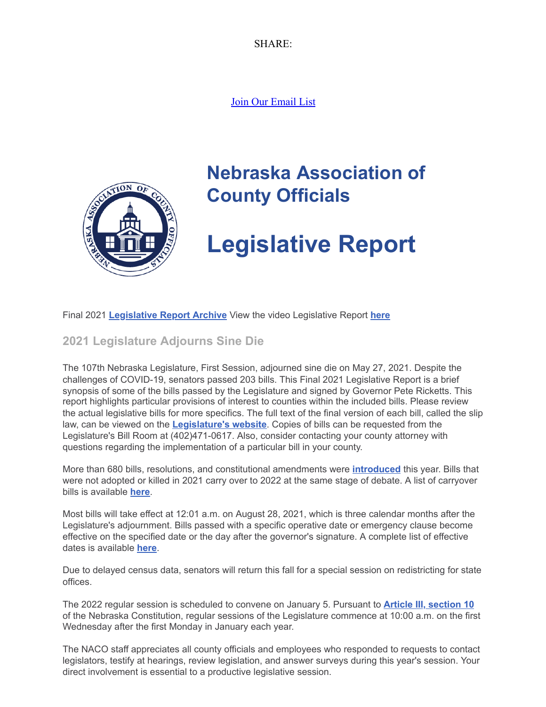SHARE:

[Join Our Email List](https://visitor.constantcontact.com/d.jsp?m=1104412315568&p=oi)



# **Nebraska Association of County Officials**

# **Legislative Report**

Final 2021 **[Legislative Report Archive](https://nacone.org/webpages/legislative/legislative_newsletter.html)** View the video Legislative Report **[here](https://www.youtube.com/watch?v=-PyaYCdwVk8)**

# **2021 Legislature Adjourns Sine Die**

The 107th Nebraska Legislature, First Session, adjourned sine die on May 27, 2021. Despite the challenges of COVID-19, senators passed 203 bills. This Final 2021 Legislative Report is a brief synopsis of some of the bills passed by the Legislature and signed by Governor Pete Ricketts. This report highlights particular provisions of interest to counties within the included bills. Please review the actual legislative bills for more specifics. The full text of the final version of each bill, called the slip law, can be viewed on the **[Legislature's website](https://nebraskalegislature.gov/)**. Copies of bills can be requested from the Legislature's Bill Room at (402)471-0617. Also, consider contacting your county attorney with questions regarding the implementation of a particular bill in your county.

More than 680 bills, resolutions, and constitutional amendments were **[introduced](https://nebraskalegislature.gov/bills/search_by_date.php?SessionDay=2021)** this year. Bills that were not adopted or killed in 2021 carry over to 2022 at the same stage of debate. A list of carryover bills is available **[here](https://nebraskalegislature.gov/pdf/session/2021carryover.pdf)**.

Most bills will take effect at 12:01 a.m. on August 28, 2021, which is three calendar months after the Legislature's adjournment. Bills passed with a specific operative date or emergency clause become effective on the specified date or the day after the governor's signature. A complete list of effective dates is available **[here](https://nebraskalegislature.gov/pdf/reports/revisor/datelist2021.pdf)**.

Due to delayed census data, senators will return this fall for a special session on redistricting for state offices.

The 2022 regular session is scheduled to convene on January 5. Pursuant to **[Article III, section 10](https://nebraskalegislature.gov/laws/articles.php?article=III-10)** of the Nebraska Constitution, regular sessions of the Legislature commence at 10:00 a.m. on the first Wednesday after the first Monday in January each year.

The NACO staff appreciates all county officials and employees who responded to requests to contact legislators, testify at hearings, review legislation, and answer surveys during this year's session. Your direct involvement is essential to a productive legislative session.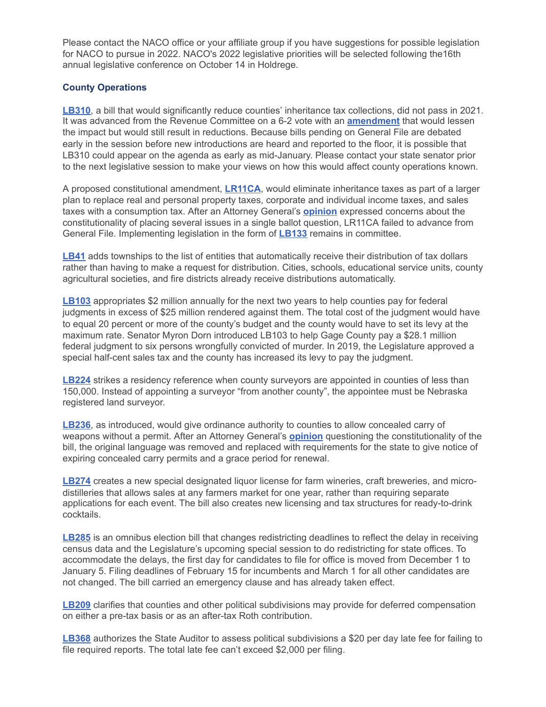Please contact the NACO office or your affiliate group if you have suggestions for possible legislation for NACO to pursue in 2022. NACO's 2022 legislative priorities will be selected following the16th annual legislative conference on October 14 in Holdrege.

#### **County Operations**

**[LB310](https://nebraskalegislature.gov/bills/view_bill.php?DocumentID=43516)**, a bill that would significantly reduce counties' inheritance tax collections, did not pass in 2021. It was advanced from the Revenue Committee on a 6-2 vote with an **[amendment](https://nebraskalegislature.gov/FloorDocs/107/PDF/AM/AM635.pdf)** that would lessen the impact but would still result in reductions. Because bills pending on General File are debated early in the session before new introductions are heard and reported to the floor, it is possible that LB310 could appear on the agenda as early as mid-January. Please contact your state senator prior to the next legislative session to make your views on how this would affect county operations known.

A proposed constitutional amendment, **[LR11CA](https://nebraskalegislature.gov/bills/view_bill.php?DocumentID=43786)**, would eliminate inheritance taxes as part of a larger plan to replace real and personal property taxes, corporate and individual income taxes, and sales taxes with a consumption tax. After an Attorney General's **[opinion](https://ago.nebraska.gov/sites/ago.nebraska.gov/files/docs/opinions/AG%20Opinion%2021-008.pdf)** expressed concerns about the constitutionality of placing several issues in a single ballot question, LR11CA failed to advance from General File. Implementing legislation in the form of **[LB133](https://nebraskalegislature.gov/bills/view_bill.php?DocumentID=43600)** remains in committee.

**[LB41](https://nebraskalegislature.gov/bills/view_bill.php?DocumentID=43494)** adds townships to the list of entities that automatically receive their distribution of tax dollars rather than having to make a request for distribution. Cities, schools, educational service units, county agricultural societies, and fire districts already receive distributions automatically.

**[LB103](https://nebraskalegislature.gov/bills/view_bill.php?DocumentID=44105)** appropriates \$2 million annually for the next two years to help counties pay for federal judgments in excess of \$25 million rendered against them. The total cost of the judgment would have to equal 20 percent or more of the county's budget and the county would have to set its levy at the maximum rate. Senator Myron Dorn introduced LB103 to help Gage County pay a \$28.1 million federal judgment to six persons wrongfully convicted of murder. In 2019, the Legislature approved a special half-cent sales tax and the county has increased its levy to pay the judgment.

**[LB224](https://nebraskalegislature.gov/bills/view_bill.php?DocumentID=43887)** strikes a residency reference when county surveyors are appointed in counties of less than 150,000. Instead of appointing a surveyor "from another county", the appointee must be Nebraska registered land surveyor.

**[LB236](https://nebraskalegislature.gov/bills/view_bill.php?DocumentID=43911)**, as introduced, would give ordinance authority to counties to allow concealed carry of weapons without a permit. After an Attorney General's **[opinion](https://ago.nebraska.gov/sites/ago.nebraska.gov/files/docs/opinions/21-011.pdf)** questioning the constitutionality of the bill, the original language was removed and replaced with requirements for the state to give notice of expiring concealed carry permits and a grace period for renewal.

**[LB274](https://nebraskalegislature.gov/bills/view_bill.php?DocumentID=43787)** creates a new special designated liquor license for farm wineries, craft breweries, and microdistilleries that allows sales at any farmers market for one year, rather than requiring separate applications for each event. The bill also creates new licensing and tax structures for ready-to-drink cocktails.

**[LB285](https://nebraskalegislature.gov/bills/view_bill.php?DocumentID=44299)** is an omnibus election bill that changes redistricting deadlines to reflect the delay in receiving census data and the Legislature's upcoming special session to do redistricting for state offices. To accommodate the delays, the first day for candidates to file for office is moved from December 1 to January 5. Filing deadlines of February 15 for incumbents and March 1 for all other candidates are not changed. The bill carried an emergency clause and has already taken effect.

**[LB209](https://nebraskalegislature.gov/bills/view_bill.php?DocumentID=44017)** clarifies that counties and other political subdivisions may provide for deferred compensation on either a pre-tax basis or as an after-tax Roth contribution.

**[LB368](https://nebraskalegislature.gov/bills/view_bill.php?DocumentID=43583)** authorizes the State Auditor to assess political subdivisions a \$20 per day late fee for failing to file required reports. The total late fee can't exceed \$2,000 per filing.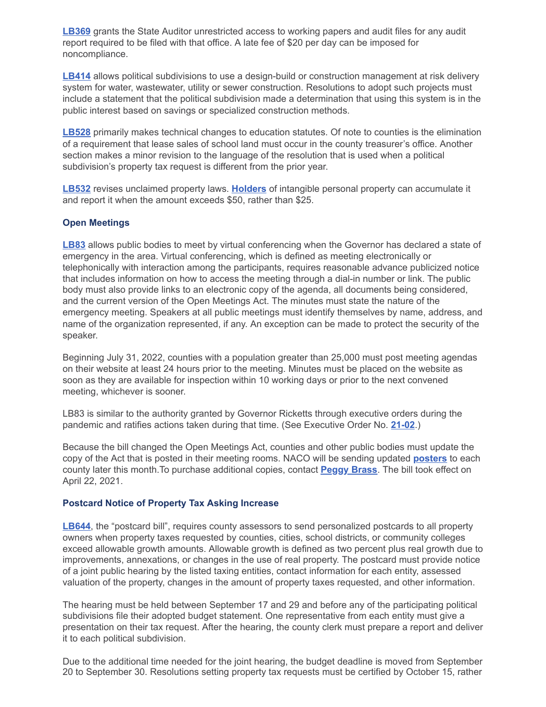**[LB369](https://nebraskalegislature.gov/bills/view_bill.php?DocumentID=43733)** grants the State Auditor unrestricted access to working papers and audit files for any audit report required to be filed with that office. A late fee of \$20 per day can be imposed for noncompliance.

**[LB414](https://nebraskalegislature.gov/bills/view_bill.php?DocumentID=43981https://nebraskalegislature.gov/bills/view_bill.php?DocumentID=43981)** allows political subdivisions to use a design-build or construction management at risk delivery system for water, wastewater, utility or sewer construction. Resolutions to adopt such projects must include a statement that the political subdivision made a determination that using this system is in the public interest based on savings or specialized construction methods.

**[LB528](https://nebraskalegislature.gov/bills/view_bill.php?DocumentID=44276)** primarily makes technical changes to education statutes. Of note to counties is the elimination of a requirement that lease sales of school land must occur in the county treasurer's office. Another section makes a minor revision to the language of the resolution that is used when a political subdivision's property tax request is different from the prior year.

**[LB532](https://nebraskalegislature.gov/bills/view_bill.php?DocumentID=43851)** revises unclaimed property laws. **[Holders](https://nebraskalostcash.nebraska.gov/app/submit-a-report)** of intangible personal property can accumulate it and report it when the amount exceeds \$50, rather than \$25.

#### **Open Meetings**

**[LB83](https://nebraskalegislature.gov/bills/view_bill.php?DocumentID=44096)** allows public bodies to meet by virtual conferencing when the Governor has declared a state of emergency in the area. Virtual conferencing, which is defined as meeting electronically or telephonically with interaction among the participants, requires reasonable advance publicized notice that includes information on how to access the meeting through a dial-in number or link. The public body must also provide links to an electronic copy of the agenda, all documents being considered, and the current version of the Open Meetings Act. The minutes must state the nature of the emergency meeting. Speakers at all public meetings must identify themselves by name, address, and name of the organization represented, if any. An exception can be made to protect the security of the speaker.

Beginning July 31, 2022, counties with a population greater than 25,000 must post meeting agendas on their website at least 24 hours prior to the meeting. Minutes must be placed on the website as soon as they are available for inspection within 10 working days or prior to the next convened meeting, whichever is sooner.

LB83 is similar to the authority granted by Governor Ricketts through executive orders during the pandemic and ratifies actions taken during that time. (See Executive Order No. **[21-02](http://govdocs.nebraska.gov/docs/pilot/pubs/eofiles/21-02.pdf)**.)

Because the bill changed the Open Meetings Act, counties and other public bodies must update the copy of the Act that is posted in their meeting rooms. NACO will be sending updated **[posters](https://nacone.org/pdfs/publications/2021%20Open%20Meetings%20Act%20with%20LB%2083.pdf)** to each county later this month.To purchase additional copies, contact **[Peggy Brass](mailto:peggy.brass@nebraskacounties.org)**. The bill took effect on April 22, 2021.

#### **Postcard Notice of Property Tax Asking Increase**

**[LB644](https://nebraskalegislature.gov/bills/view_bill.php?DocumentID=44190)**, the "postcard bill", requires county assessors to send personalized postcards to all property owners when property taxes requested by counties, cities, school districts, or community colleges exceed allowable growth amounts. Allowable growth is defined as two percent plus real growth due to improvements, annexations, or changes in the use of real property. The postcard must provide notice of a joint public hearing by the listed taxing entities, contact information for each entity, assessed valuation of the property, changes in the amount of property taxes requested, and other information.

The hearing must be held between September 17 and 29 and before any of the participating political subdivisions file their adopted budget statement. One representative from each entity must give a presentation on their tax request. After the hearing, the county clerk must prepare a report and deliver it to each political subdivision.

Due to the additional time needed for the joint hearing, the budget deadline is moved from September 20 to September 30. Resolutions setting property tax requests must be certified by October 15, rather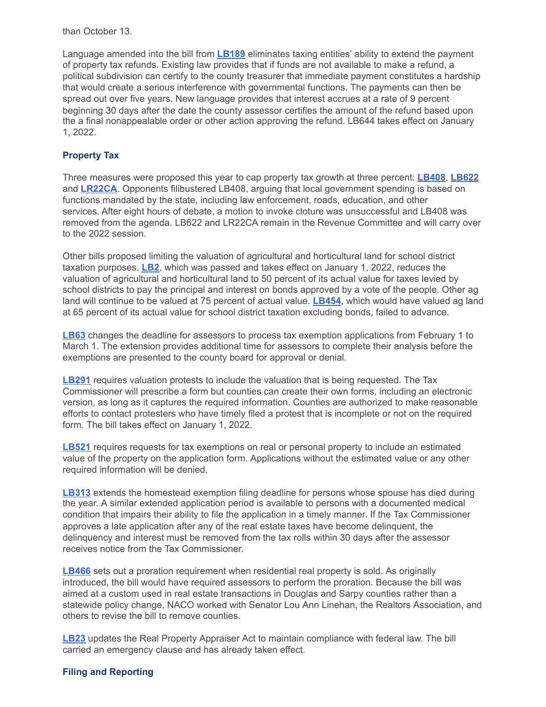than October 13.

Language amended into the bill from **[LB189](https://nebraskalegislature.gov/bills/view_bill.php?DocumentID=43820)** eliminates taxing entities' ability to extend the payment of property tax refunds. Existing law provides that if funds are not available to make a refund, a political subdivision can certify to the county treasurer that immediate payment constitutes a hardship that would create a serious interference with governmental functions. The payments can then be spread out over five years. New language provides that interest accrues at a rate of 9 percent beginning 30 days after the date the county assessor certifies the amount of the refund based upon the a final nonappealable order or other action approving the refund. LB644 takes effect on January 1, 2022.

## **Property Tax**

Three measures were proposed this year to cap property tax growth at three percent: **[LB408](https://nebraskalegislature.gov/bills/view_bill.php?DocumentID=43864)**, **[LB622](https://nebraskalegislature.gov/bills/view_bill.php?DocumentID=44376)** and **[LR22CA](https://nebraskalegislature.gov/bills/view_bill.php?DocumentID=43731)**. Opponents filibustered LB408, arguing that local government spending is based on functions mandated by the state, including law enforcement, roads, education, and other services. After eight hours of debate, a motion to invoke cloture was unsuccessful and LB408 was removed from the agenda. LB622 and LR22CA remain in the Revenue Committee and will carry over to the 2022 session.

Other bills proposed limiting the valuation of agricultural and horticultural land for school district taxation purposes. **[LB2](https://nebraskalegislature.gov/bills/view_bill.php?DocumentID=43597)**, which was passed and takes effect on January 1, 2022, reduces the valuation of agricultural and horticultural land to 50 percent of its actual value for taxes levied by school districts to pay the principal and interest on bonds approved by a vote of the people. Other ag land will continue to be valued at 75 percent of actual value. **[LB454](https://nebraskalegislature.gov/bills/view_bill.php?DocumentID=44125)**, which would have valued ag land at 65 percent of its actual value for school district taxation excluding bonds, failed to advance.

**[LB63](https://nebraskalegislature.gov/bills/view_bill.php?DocumentID=43628)** changes the deadline for assessors to process tax exemption applications from February 1 to March 1. The extension provides additional time for assessors to complete their analysis before the exemptions are presented to the county board for approval or denial.

**[LB291](https://nebraskalegislature.gov/bills/view_bill.php?DocumentID=43884)** requires valuation protests to include the valuation that is being requested. The Tax Commissioner will prescribe a form but counties can create their own forms, including an electronic version, as long as it captures the required information. Counties are authorized to make reasonable efforts to contact protesters who have timely filed a protest that is incomplete or not on the required form. The bill takes effect on January 1, 2022.

**[LB521](https://nebraskalegislature.gov/bills/view_bill.php?DocumentID=44377)** requires requests for tax exemptions on real or personal property to include an estimated value of the property on the application form. Applications without the estimated value or any other required information will be denied.

**[LB313](https://nebraskalegislature.gov/bills/view_bill.php?DocumentID=44078)** extends the homestead exemption filing deadline for persons whose spouse has died during the year. A similar extended application period is available to persons with a documented medical condition that impairs their ability to file the application in a timely manner. If the Tax Commissioner approves a late application after any of the real estate taxes have become delinquent, the delinquency and interest must be removed from the tax rolls within 30 days after the assessor receives notice from the Tax Commissioner.

**[LB466](https://nebraskalegislature.gov/bills/view_bill.php?DocumentID=44287)** sets out a proration requirement when residential real property is sold. As originally introduced, the bill would have required assessors to perform the proration. Because the bill was aimed at a custom used in real estate transactions in Douglas and Sarpy counties rather than a statewide policy change, NACO worked with Senator Lou Ann Linehan, the Realtors Association, and others to revise the bill to remove counties.

**[LB23](https://nebraskalegislature.gov/bills/view_bill.php?DocumentID=43559)** updates the Real Property Appraiser Act to maintain compliance with federal law. The bill carried an emergency clause and has already taken effect.

## **Filing and Reporting**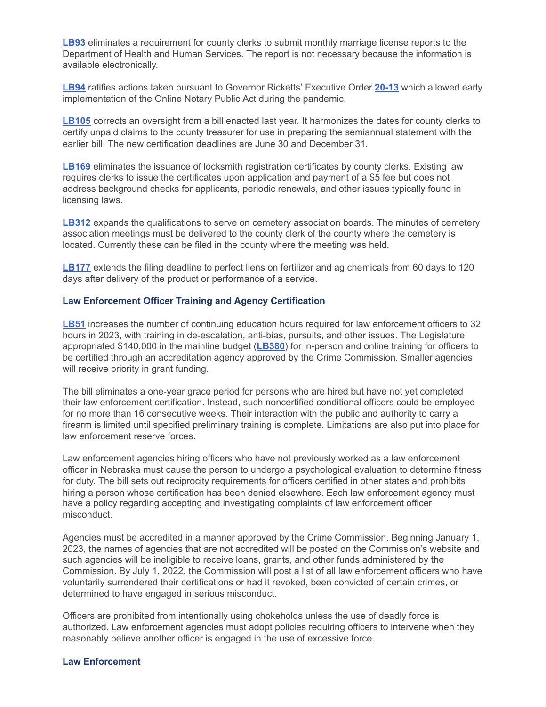**[LB93](https://nebraskalegislature.gov/bills/view_bill.php?DocumentID=43673)** eliminates a requirement for county clerks to submit monthly marriage license reports to the Department of Health and Human Services. The report is not necessary because the information is available electronically.

**[LB94](https://nebraskalegislature.gov/bills/view_bill.php?DocumentID=43976)** ratifies actions taken pursuant to Governor Ricketts' Executive Order **[20-13](http://govdocs.nebraska.gov/docs/pilot/pubs/eofiles/20-13.pdf)** which allowed early implementation of the Online Notary Public Act during the pandemic.

**[LB105](https://nebraskalegislature.gov/bills/view_bill.php?DocumentID=44128)** corrects an oversight from a bill enacted last year. It harmonizes the dates for county clerks to certify unpaid claims to the county treasurer for use in preparing the semiannual statement with the earlier bill. The new certification deadlines are June 30 and December 31.

**[LB169](https://nebraskalegislature.gov/bills/view_bill.php?DocumentID=44003)** eliminates the issuance of locksmith registration certificates by county clerks. Existing law requires clerks to issue the certificates upon application and payment of a \$5 fee but does not address background checks for applicants, periodic renewals, and other issues typically found in licensing laws.

**[LB312](https://nebraskalegislature.gov/bills/view_bill.php?DocumentID=44112)** expands the qualifications to serve on cemetery association boards. The minutes of cemetery association meetings must be delivered to the county clerk of the county where the cemetery is located. Currently these can be filed in the county where the meeting was held.

**[LB177](https://nebraskalegislature.gov/bills/view_bill.php?DocumentID=43906)** extends the filing deadline to perfect liens on fertilizer and ag chemicals from 60 days to 120 days after delivery of the product or performance of a service.

#### **Law Enforcement Officer Training and Agency Certification**

**[LB51](https://nebraskalegislature.gov/bills/view_bill.php?DocumentID=43686)** increases the number of continuing education hours required for law enforcement officers to 32 hours in 2023, with training in de-escalation, anti-bias, pursuits, and other issues. The Legislature appropriated \$140,000 in the mainline budget (**[LB380](https://nebraskalegislature.gov/bills/view_bill.php?DocumentID=43768)**) for in-person and online training for officers to be certified through an accreditation agency approved by the Crime Commission. Smaller agencies will receive priority in grant funding.

The bill eliminates a one-year grace period for persons who are hired but have not yet completed their law enforcement certification. Instead, such noncertified conditional officers could be employed for no more than 16 consecutive weeks. Their interaction with the public and authority to carry a firearm is limited until specified preliminary training is complete. Limitations are also put into place for law enforcement reserve forces.

Law enforcement agencies hiring officers who have not previously worked as a law enforcement officer in Nebraska must cause the person to undergo a psychological evaluation to determine fitness for duty. The bill sets out reciprocity requirements for officers certified in other states and prohibits hiring a person whose certification has been denied elsewhere. Each law enforcement agency must have a policy regarding accepting and investigating complaints of law enforcement officer misconduct.

Agencies must be accredited in a manner approved by the Crime Commission. Beginning January 1, 2023, the names of agencies that are not accredited will be posted on the Commission's website and such agencies will be ineligible to receive loans, grants, and other funds administered by the Commission. By July 1, 2022, the Commission will post a list of all law enforcement officers who have voluntarily surrendered their certifications or had it revoked, been convicted of certain crimes, or determined to have engaged in serious misconduct.

Officers are prohibited from intentionally using chokeholds unless the use of deadly force is authorized. Law enforcement agencies must adopt policies requiring officers to intervene when they reasonably believe another officer is engaged in the use of excessive force.

#### **Law Enforcement**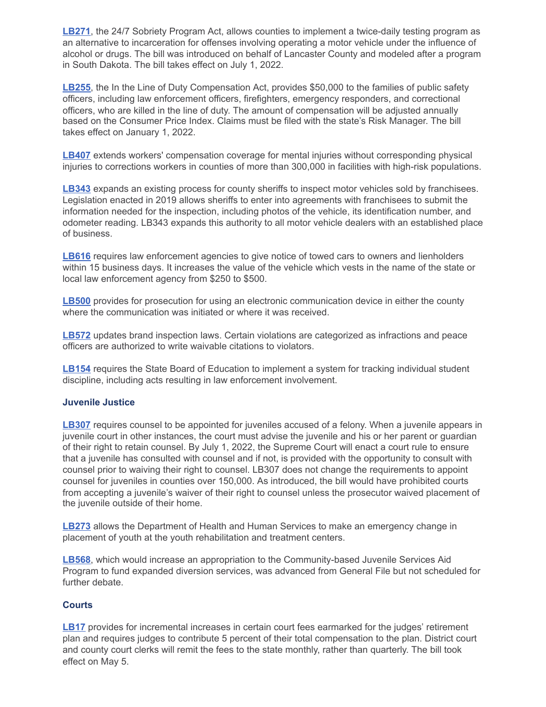**[LB271](https://nebraskalegislature.gov/bills/view_bill.php?DocumentID=43994)**, the 24/7 Sobriety Program Act, allows counties to implement a twice-daily testing program as an alternative to incarceration for offenses involving operating a motor vehicle under the influence of alcohol or drugs. The bill was introduced on behalf of Lancaster County and modeled after a program in South Dakota. The bill takes effect on July 1, 2022.

**[LB255](https://nebraskalegislature.gov/bills/view_bill.php?DocumentID=44062)**, the In the Line of Duty Compensation Act, provides \$50,000 to the families of public safety officers, including law enforcement officers, firefighters, emergency responders, and correctional officers, who are killed in the line of duty. The amount of compensation will be adjusted annually based on the Consumer Price Index. Claims must be filed with the state's Risk Manager. The bill takes effect on January 1, 2022.

**[LB407](https://nebraskalegislature.gov/bills/view_bill.php?DocumentID=44257)** extends workers' compensation coverage for mental injuries without corresponding physical injuries to corrections workers in counties of more than 300,000 in facilities with high-risk populations.

**[LB343](https://nebraskalegislature.gov/bills/view_bill.php?DocumentID=44124)** expands an existing process for county sheriffs to inspect motor vehicles sold by franchisees. Legislation enacted in 2019 allows sheriffs to enter into agreements with franchisees to submit the information needed for the inspection, including photos of the vehicle, its identification number, and odometer reading. LB343 expands this authority to all motor vehicle dealers with an established place of business.

**[LB616](https://nebraskalegislature.gov/bills/view_bill.php?DocumentID=44474)** requires law enforcement agencies to give notice of towed cars to owners and lienholders within 15 business days. It increases the value of the vehicle which vests in the name of the state or local law enforcement agency from \$250 to \$500.

**[LB500](https://nebraskalegislature.gov/bills/view_bill.php?DocumentID=44393)** provides for prosecution for using an electronic communication device in either the county where the communication was initiated or where it was received.

**[LB572](https://nebraskalegislature.gov/bills/view_bill.php?DocumentID=44163)** updates brand inspection laws. Certain violations are categorized as infractions and peace officers are authorized to write waivable citations to violators.

**[LB154](https://nebraskalegislature.gov/bills/view_bill.php?DocumentID=43960)** requires the State Board of Education to implement a system for tracking individual student discipline, including acts resulting in law enforcement involvement.

#### **Juvenile Justice**

**[LB307](https://nebraskalegislature.gov/bills/view_bill.php?DocumentID=44223)** requires counsel to be appointed for juveniles accused of a felony. When a juvenile appears in juvenile court in other instances, the court must advise the juvenile and his or her parent or guardian of their right to retain counsel. By July 1, 2022, the Supreme Court will enact a court rule to ensure that a juvenile has consulted with counsel and if not, is provided with the opportunity to consult with counsel prior to waiving their right to counsel. LB307 does not change the requirements to appoint counsel for juveniles in counties over 150,000. As introduced, the bill would have prohibited courts from accepting a juvenile's waiver of their right to counsel unless the prosecutor waived placement of the juvenile outside of their home.

**[LB273](https://nebraskalegislature.gov/bills/view_bill.php?DocumentID=43615)** allows the Department of Health and Human Services to make an emergency change in placement of youth at the youth rehabilitation and treatment centers.

**[LB568](https://nebraskalegislature.gov/bills/view_bill.php?DocumentID=44461)**, which would increase an appropriation to the Community-based Juvenile Services Aid Program to fund expanded diversion services, was advanced from General File but not scheduled for further debate.

#### **Courts**

**[LB17](https://nebraskalegislature.gov/bills/view_bill.php?DocumentID=43892)** provides for incremental increases in certain court fees earmarked for the judges' retirement plan and requires judges to contribute 5 percent of their total compensation to the plan. District court and county court clerks will remit the fees to the state monthly, rather than quarterly. The bill took effect on May 5.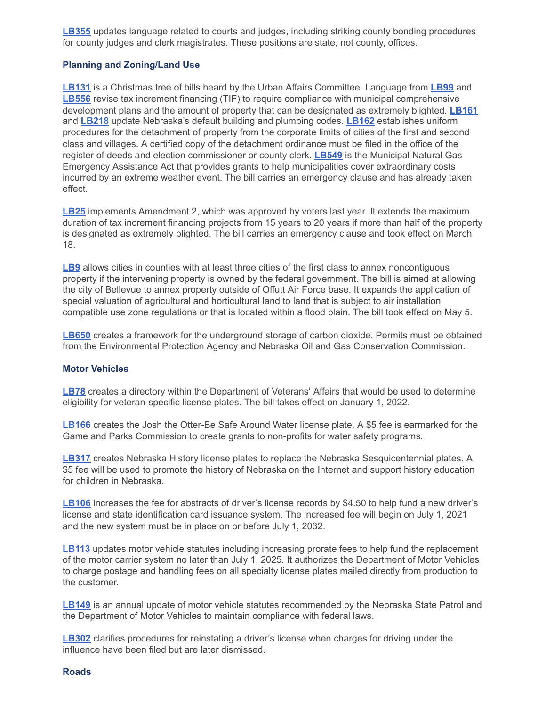**[LB355](https://nebraskalegislature.gov/bills/view_bill.php?DocumentID=44168)** updates language related to courts and judges, including striking county bonding procedures for county judges and clerk magistrates. These positions are state, not county, offices.

#### **Planning and Zoning/Land Use**

**[LB131](https://nebraskalegislature.gov/bills/view_bill.php?DocumentID=43499)** is a Christmas tree of bills heard by the Urban Affairs Committee. Language from **[LB99](https://nebraskalegislature.gov/bills/view_bill.php?DocumentID=43577)** and **[LB556](https://nebraskalegislature.gov/bills/view_bill.php?DocumentID=44408)** revise tax increment financing (TIF) to require compliance with municipal comprehensive development plans and the amount of property that can be designated as extremely blighted. **[LB161](https://nebraskalegislature.gov/bills/view_bill.php?DocumentID=43509)** and **[LB218](https://nebraskalegislature.gov/bills/view_bill.php?DocumentID=43507)** update Nebraska's default building and plumbing codes. **[LB162](https://nebraskalegislature.gov/bills/view_bill.php?DocumentID=43498)** establishes uniform procedures for the detachment of property from the corporate limits of cities of the first and second class and villages. A certified copy of the detachment ordinance must be filed in the office of the register of deeds and election commissioner or county clerk. **[LB549](https://nebraskalegislature.gov/bills/view_bill.php?DocumentID=44171)** is the Municipal Natural Gas Emergency Assistance Act that provides grants to help municipalities cover extraordinary costs incurred by an extreme weather event. The bill carries an emergency clause and has already taken effect.

**[LB25](https://nebraskalegislature.gov/bills/view_bill.php?DocumentID=43660)** implements Amendment 2, which was approved by voters last year. It extends the maximum duration of tax increment financing projects from 15 years to 20 years if more than half of the property is designated as extremely blighted. The bill carries an emergency clause and took effect on March 18.

**[LB9](https://nebraskalegislature.gov/bills/view_bill.php?DocumentID=43745)** allows cities in counties with at least three cities of the first class to annex noncontiguous property if the intervening property is owned by the federal government. The bill is aimed at allowing the city of Bellevue to annex property outside of Offutt Air Force base. It expands the application of special valuation of agricultural and horticultural land to land that is subject to air installation compatible use zone regulations or that is located within a flood plain. The bill took effect on May 5.

**[LB650](https://nebraskalegislature.gov/bills/view_bill.php?DocumentID=43955)** creates a framework for the underground storage of carbon dioxide. Permits must be obtained from the Environmental Protection Agency and Nebraska Oil and Gas Conservation Commission.

#### **Motor Vehicles**

**[LB78](https://nebraskalegislature.gov/bills/view_bill.php?DocumentID=43928)** creates a directory within the Department of Veterans' Affairs that would be used to determine eligibility for veteran-specific license plates. The bill takes effect on January 1, 2022.

**[LB166](https://nebraskalegislature.gov/bills/view_bill.php?DocumentID=43538)** creates the Josh the Otter-Be Safe Around Water license plate. A \$5 fee is earmarked for the Game and Parks Commission to create grants to non-profits for water safety programs.

**[LB317](https://nebraskalegislature.gov/bills/view_bill.php?DocumentID=44206)** creates Nebraska History license plates to replace the Nebraska Sesquicentennial plates. A \$5 fee will be used to promote the history of Nebraska on the Internet and support history education for children in Nebraska.

**[LB106](https://nebraskalegislature.gov/bills/view_bill.php?DocumentID=43652)** increases the fee for abstracts of driver's license records by \$4.50 to help fund a new driver's license and state identification card issuance system. The increased fee will begin on July 1, 2021 and the new system must be in place on or before July 1, 2032.

**[LB113](https://nebraskalegislature.gov/bills/view_bill.php?DocumentID=43917)** updates motor vehicle statutes including increasing prorate fees to help fund the replacement of the motor carrier system no later than July 1, 2025. It authorizes the Department of Motor Vehicles to charge postage and handling fees on all specialty license plates mailed directly from production to the customer.

**[LB149](https://nebraskalegislature.gov/bills/view_bill.php?DocumentID=43517)** is an annual update of motor vehicle statutes recommended by the Nebraska State Patrol and the Department of Motor Vehicles to maintain compliance with federal laws.

**[LB302](https://nebraskalegislature.gov/bills/view_bill.php?DocumentID=44040)** clarifies procedures for reinstating a driver's license when charges for driving under the influence have been filed but are later dismissed.

#### **Roads**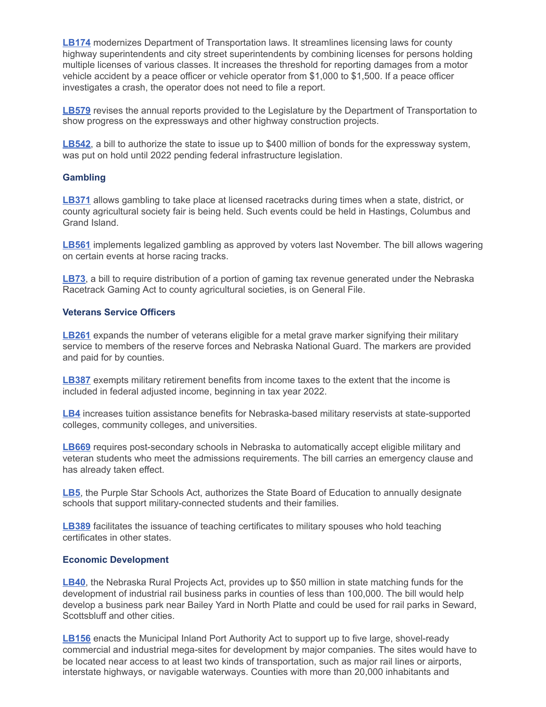**[LB174](https://nebraskalegislature.gov/bills/view_bill.php?DocumentID=43839)** modernizes Department of Transportation laws. It streamlines licensing laws for county highway superintendents and city street superintendents by combining licenses for persons holding multiple licenses of various classes. It increases the threshold for reporting damages from a motor vehicle accident by a peace officer or vehicle operator from \$1,000 to \$1,500. If a peace officer investigates a crash, the operator does not need to file a report.

**[LB579](https://nebraskalegislature.gov/bills/view_bill.php?DocumentID=44444)** revises the annual reports provided to the Legislature by the Department of Transportation to show progress on the expressways and other highway construction projects.

**[LB542](https://nebraskalegislature.gov/bills/view_bill.php?DocumentID=44404)**, a bill to authorize the state to issue up to \$400 million of bonds for the expressway system, was put on hold until 2022 pending federal infrastructure legislation.

#### **Gambling**

**[LB371](https://nebraskalegislature.gov/bills/view_bill.php?DocumentID=44106)** allows gambling to take place at licensed racetracks during times when a state, district, or county agricultural society fair is being held. Such events could be held in Hastings, Columbus and Grand Island.

**[LB561](https://nebraskalegislature.gov/bills/view_bill.php?DocumentID=44291)** implements legalized gambling as approved by voters last November. The bill allows wagering on certain events at horse racing tracks.

**[LB73](https://nebraskalegislature.gov/bills/view_bill.php?DocumentID=43849)**, a bill to require distribution of a portion of gaming tax revenue generated under the Nebraska Racetrack Gaming Act to county agricultural societies, is on General File.

#### **Veterans Service Officers**

**[LB261](https://nebraskalegislature.gov/bills/view_bill.php?DocumentID=43881)** expands the number of veterans eligible for a metal grave marker signifying their military service to members of the reserve forces and Nebraska National Guard. The markers are provided and paid for by counties.

**[LB387](https://nebraskalegislature.gov/bills/view_bill.php?DocumentID=43739)** exempts military retirement benefits from income taxes to the extent that the income is included in federal adjusted income, beginning in tax year 2022.

**[LB4](https://nebraskalegislature.gov/bills/view_bill.php?DocumentID=43776)** increases tuition assistance benefits for Nebraska-based military reservists at state-supported colleges, community colleges, and universities.

**[LB669](https://nebraskalegislature.gov/bills/view_bill.php?DocumentID=43764)** requires post-secondary schools in Nebraska to automatically accept eligible military and veteran students who meet the admissions requirements. The bill carries an emergency clause and has already taken effect.

**[LB5](https://nebraskalegislature.gov/bills/view_bill.php?DocumentID=43629)**, the Purple Star Schools Act, authorizes the State Board of Education to annually designate schools that support military-connected students and their families.

**[LB389](https://nebraskalegislature.gov/bills/view_bill.php?DocumentID=43747)** facilitates the issuance of teaching certificates to military spouses who hold teaching certificates in other states.

#### **Economic Development**

**[LB40](https://nebraskalegislature.gov/bills/view_bill.php?DocumentID=43595)**, the Nebraska Rural Projects Act, provides up to \$50 million in state matching funds for the development of industrial rail business parks in counties of less than 100,000. The bill would help develop a business park near Bailey Yard in North Platte and could be used for rail parks in Seward, Scottsbluff and other cities.

**[LB156](https://nebraskalegislature.gov/bills/view_bill.php?DocumentID=43500)** enacts the Municipal Inland Port Authority Act to support up to five large, shovel-ready commercial and industrial mega-sites for development by major companies. The sites would have to be located near access to at least two kinds of transportation, such as major rail lines or airports, interstate highways, or navigable waterways. Counties with more than 20,000 inhabitants and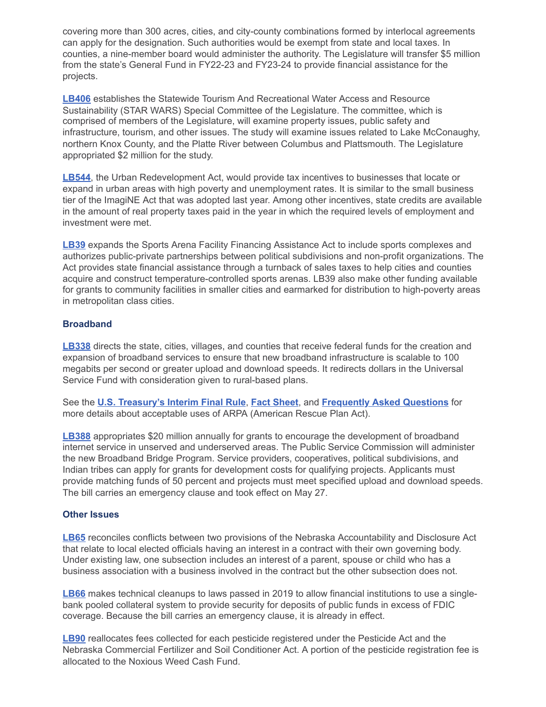covering more than 300 acres, cities, and city-county combinations formed by interlocal agreements can apply for the designation. Such authorities would be exempt from state and local taxes. In counties, a nine-member board would administer the authority. The Legislature will transfer \$5 million from the state's General Fund in FY22-23 and FY23-24 to provide financial assistance for the projects.

**[LB406](https://nebraskalegislature.gov/bills/view_bill.php?DocumentID=44258)** establishes the Statewide Tourism And Recreational Water Access and Resource Sustainability (STAR WARS) Special Committee of the Legislature. The committee, which is comprised of members of the Legislature, will examine property issues, public safety and infrastructure, tourism, and other issues. The study will examine issues related to Lake McConaughy, northern Knox County, and the Platte River between Columbus and Plattsmouth. The Legislature appropriated \$2 million for the study.

**[LB544](https://nebraskalegislature.gov/bills/view_bill.php?DocumentID=43689)**, the Urban Redevelopment Act, would provide tax incentives to businesses that locate or expand in urban areas with high poverty and unemployment rates. It is similar to the small business tier of the ImagiNE Act that was adopted last year. Among other incentives, state credits are available in the amount of real property taxes paid in the year in which the required levels of employment and investment were met.

**[LB39](https://nebraskalegislature.gov/bills/view_bill.php?DocumentID=43513)** expands the Sports Arena Facility Financing Assistance Act to include sports complexes and authorizes public-private partnerships between political subdivisions and non-profit organizations. The Act provides state financial assistance through a turnback of sales taxes to help cities and counties acquire and construct temperature-controlled sports arenas. LB39 also make other funding available for grants to community facilities in smaller cities and earmarked for distribution to high-poverty areas in metropolitan class cities.

#### **Broadband**

**[LB338](https://nebraskalegislature.gov/bills/view_bill.php?DocumentID=44317)** directs the state, cities, villages, and counties that receive federal funds for the creation and expansion of broadband services to ensure that new broadband infrastructure is scalable to 100 megabits per second or greater upload and download speeds. It redirects dollars in the Universal Service Fund with consideration given to rural-based plans.

See the **[U.S. Treasury's Interim Final Rule](https://www.govinfo.gov/content/pkg/FR-2021-05-17/pdf/2021-10283.pdf)**, **[Fact Sheet](https://home.treasury.gov/system/files/136/SLFRP-Fact-Sheet-FINAL1-508A.pdf)**, and **[Frequently Asked Questions](https://home.treasury.gov/system/files/136/SLFRPFAQ.pdf)** for more details about acceptable uses of ARPA (American Rescue Plan Act).

**[LB388](https://nebraskalegislature.gov/bills/view_bill.php?DocumentID=43697)** appropriates \$20 million annually for grants to encourage the development of broadband internet service in unserved and underserved areas. The Public Service Commission will administer the new Broadband Bridge Program. Service providers, cooperatives, political subdivisions, and Indian tribes can apply for grants for development costs for qualifying projects. Applicants must provide matching funds of 50 percent and projects must meet specified upload and download speeds. The bill carries an emergency clause and took effect on May 27.

#### **Other Issues**

**[LB65](https://nebraskalegislature.gov/bills/view_bill.php?DocumentID=44135)** reconciles conflicts between two provisions of the Nebraska Accountability and Disclosure Act that relate to local elected officials having an interest in a contract with their own governing body. Under existing law, one subsection includes an interest of a parent, spouse or child who has a business association with a business involved in the contract but the other subsection does not.

**[LB66](https://nebraskalegislature.gov/bills/view_bill.php?DocumentID=43973)** makes technical cleanups to laws passed in 2019 to allow financial institutions to use a singlebank pooled collateral system to provide security for deposits of public funds in excess of FDIC coverage. Because the bill carries an emergency clause, it is already in effect.

**[LB90](https://nebraskalegislature.gov/bills/view_bill.php?DocumentID=43988)** reallocates fees collected for each pesticide registered under the Pesticide Act and the Nebraska Commercial Fertilizer and Soil Conditioner Act. A portion of the pesticide registration fee is allocated to the Noxious Weed Cash Fund.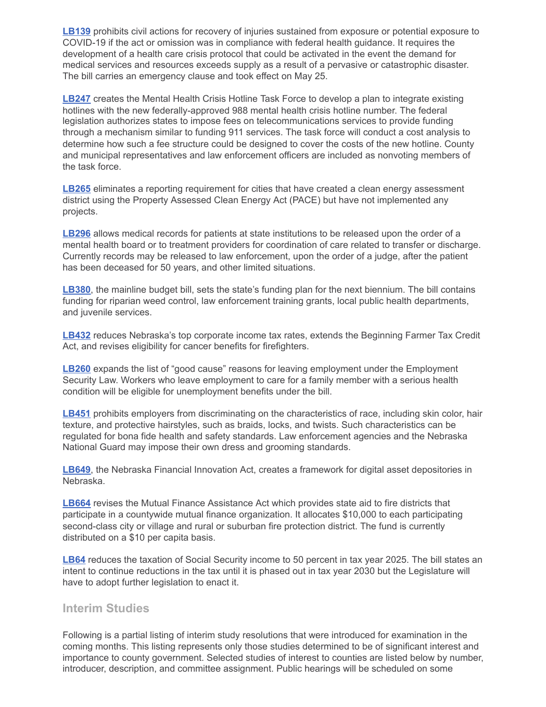**[LB139](https://nebraskalegislature.gov/bills/view_bill.php?DocumentID=43915)** prohibits civil actions for recovery of injuries sustained from exposure or potential exposure to COVID-19 if the act or omission was in compliance with federal health guidance. It requires the development of a health care crisis protocol that could be activated in the event the demand for medical services and resources exceeds supply as a result of a pervasive or catastrophic disaster. The bill carries an emergency clause and took effect on May 25.

**[LB247](https://nebraskalegislature.gov/bills/view_bill.php?DocumentID=44016)** creates the Mental Health Crisis Hotline Task Force to develop a plan to integrate existing hotlines with the new federally-approved 988 mental health crisis hotline number. The federal legislation authorizes states to impose fees on telecommunications services to provide funding through a mechanism similar to funding 911 services. The task force will conduct a cost analysis to determine how such a fee structure could be designed to cover the costs of the new hotline. County and municipal representatives and law enforcement officers are included as nonvoting members of the task force.

**[LB265](https://nebraskalegislature.gov/bills/view_bill.php?DocumentID=44018)** eliminates a reporting requirement for cities that have created a clean energy assessment district using the Property Assessed Clean Energy Act (PACE) but have not implemented any projects.

**[LB296](https://nebraskalegislature.gov/bills/view_bill.php?DocumentID=43547)** allows medical records for patients at state institutions to be released upon the order of a mental health board or to treatment providers for coordination of care related to transfer or discharge. Currently records may be released to law enforcement, upon the order of a judge, after the patient has been deceased for 50 years, and other limited situations.

**[LB380](https://nebraskalegislature.gov/bills/view_bill.php?DocumentID=43768)**, the mainline budget bill, sets the state's funding plan for the next biennium. The bill contains funding for riparian weed control, law enforcement training grants, local public health departments, and juvenile services.

**[LB432](https://nebraskalegislature.gov/bills/view_bill.php?DocumentID=43825)** reduces Nebraska's top corporate income tax rates, extends the Beginning Farmer Tax Credit Act, and revises eligibility for cancer benefits for firefighters.

**[LB260](https://nebraskalegislature.gov/bills/view_bill.php?DocumentID=43457)** expands the list of "good cause" reasons for leaving employment under the Employment Security Law. Workers who leave employment to care for a family member with a serious health condition will be eligible for unemployment benefits under the bill.

**[LB451](https://nebraskalegislature.gov/bills/view_bill.php?DocumentID=43705)** prohibits employers from discriminating on the characteristics of race, including skin color, hair texture, and protective hairstyles, such as braids, locks, and twists. Such characteristics can be regulated for bona fide health and safety standards. Law enforcement agencies and the Nebraska National Guard may impose their own dress and grooming standards.

**[LB649](https://nebraskalegislature.gov/bills/view_bill.php?DocumentID=44186)**, the Nebraska Financial Innovation Act, creates a framework for digital asset depositories in Nebraska.

**[LB664](https://nebraskalegislature.gov/bills/view_bill.php?DocumentID=44455)** revises the Mutual Finance Assistance Act which provides state aid to fire districts that participate in a countywide mutual finance organization. It allocates \$10,000 to each participating second-class city or village and rural or suburban fire protection district. The fund is currently distributed on a \$10 per capita basis.

**[LB64](https://nebraskalegislature.gov/bills/view_bill.php?DocumentID=44147)** reduces the taxation of Social Security income to 50 percent in tax year 2025. The bill states an intent to continue reductions in the tax until it is phased out in tax year 2030 but the Legislature will have to adopt further legislation to enact it.

# **Interim Studies**

Following is a partial listing of interim study resolutions that were introduced for examination in the coming months. This listing represents only those studies determined to be of significant interest and importance to county government. Selected studies of interest to counties are listed below by number, introducer, description, and committee assignment. Public hearings will be scheduled on some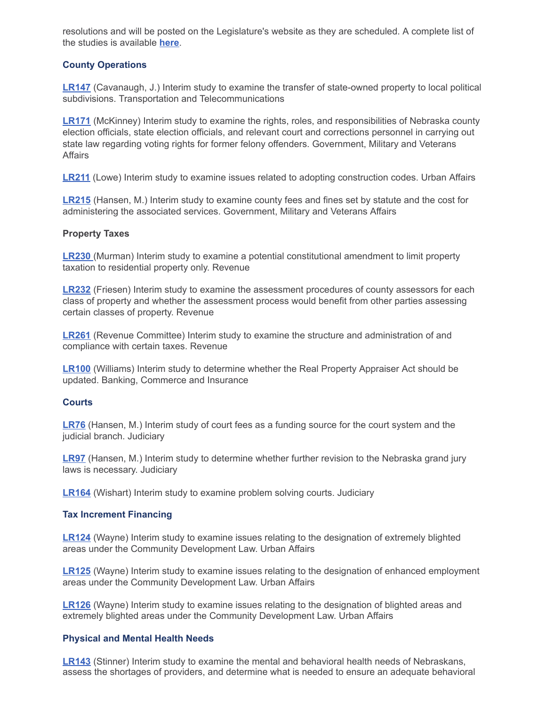resolutions and will be posted on the Legislature's website as they are scheduled. A complete list of the studies is available **[here](https://nebraskalegislature.gov/session/interim.php)**.

#### **County Operations**

**[LR147](https://nebraskalegislature.gov/bills/view_bill.php?DocumentID=46220)** (Cavanaugh, J.) Interim study to examine the transfer of state-owned property to local political subdivisions. Transportation and Telecommunications

**[LR171](https://nebraskalegislature.gov/bills/view_bill.php?DocumentID=46295)** (McKinney) Interim study to examine the rights, roles, and responsibilities of Nebraska county election officials, state election officials, and relevant court and corrections personnel in carrying out state law regarding voting rights for former felony offenders. Government, Military and Veterans **Affairs** 

**[LR211](https://nebraskalegislature.gov/bills/view_bill.php?DocumentID=46062)** (Lowe) Interim study to examine issues related to adopting construction codes. Urban Affairs

**[LR215](https://nebraskalegislature.gov/bills/view_bill.php?DocumentID=46365)** (Hansen, M.) Interim study to examine county fees and fines set by statute and the cost for administering the associated services. Government, Military and Veterans Affairs

#### **Property Taxes**

**[LR230](https://nebraskalegislature.gov/bills/view_bill.php?DocumentID=46293)** (Murman) Interim study to examine a potential constitutional amendment to limit property taxation to residential property only. Revenue

**[LR232](https://nebraskalegislature.gov/bills/view_bill.php?DocumentID=46500)** (Friesen) Interim study to examine the assessment procedures of county assessors for each class of property and whether the assessment process would benefit from other parties assessing certain classes of property. Revenue

**[LR261](https://nebraskalegislature.gov/bills/view_bill.php?DocumentID=46563)** (Revenue Committee) Interim study to examine the structure and administration of and compliance with certain taxes. Revenue

**[LR100](https://nebraskalegislature.gov/bills/view_bill.php?DocumentID=45630)** (Williams) Interim study to determine whether the Real Property Appraiser Act should be updated. Banking, Commerce and Insurance

#### **Courts**

**[LR76](https://nebraskalegislature.gov/bills/view_bill.php?DocumentID=45297)** (Hansen, M.) Interim study of court fees as a funding source for the court system and the judicial branch. Judiciary

**[LR97](https://nebraskalegislature.gov/bills/view_bill.php?DocumentID=45695)** (Hansen, M.) Interim study to determine whether further revision to the Nebraska grand jury laws is necessary. Judiciary

**[LR164](https://nebraskalegislature.gov/bills/view_bill.php?DocumentID=46281)** (Wishart) Interim study to examine problem solving courts. Judiciary

#### **Tax Increment Financing**

**[LR124](https://nebraskalegislature.gov/bills/view_bill.php?DocumentID=46094)** (Wayne) Interim study to examine issues relating to the designation of extremely blighted areas under the Community Development Law. Urban Affairs

**[LR125](https://nebraskalegislature.gov/bills/view_bill.php?DocumentID=46088)** (Wayne) Interim study to examine issues relating to the designation of enhanced employment areas under the Community Development Law. Urban Affairs

**[LR126](https://nebraskalegislature.gov/bills/view_bill.php?DocumentID=46095)** (Wayne) Interim study to examine issues relating to the designation of blighted areas and extremely blighted areas under the Community Development Law. Urban Affairs

#### **Physical and Mental Health Needs**

**[LR143](https://nebraskalegislature.gov/bills/view_bill.php?DocumentID=46122)** (Stinner) Interim study to examine the mental and behavioral health needs of Nebraskans, assess the shortages of providers, and determine what is needed to ensure an adequate behavioral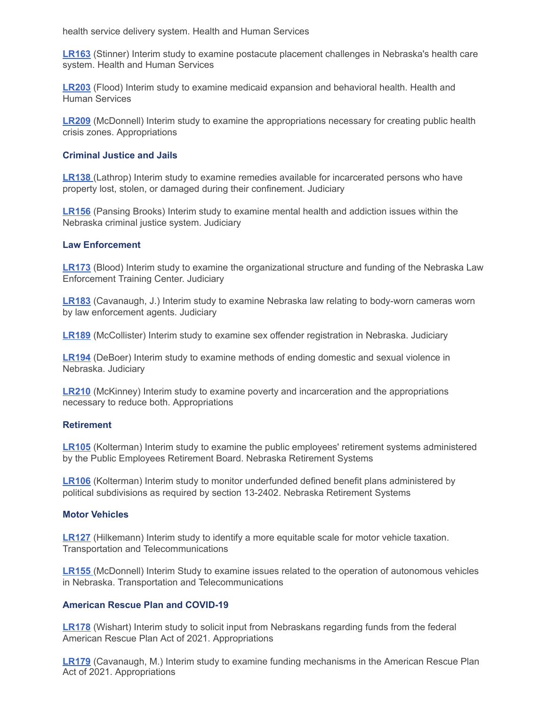health service delivery system. Health and Human Services

**[LR163](https://nebraskalegislature.gov/bills/view_bill.php?DocumentID=46229)** (Stinner) Interim study to examine postacute placement challenges in Nebraska's health care system. Health and Human Services

**[LR203](https://nebraskalegislature.gov/bills/view_bill.php?DocumentID=46457)** (Flood) Interim study to examine medicaid expansion and behavioral health. Health and Human Services

**[LR209](https://nebraskalegislature.gov/bills/view_bill.php?DocumentID=46470)** (McDonnell) Interim study to examine the appropriations necessary for creating public health crisis zones. Appropriations

#### **Criminal Justice and Jails**

**[LR138](https://nebraskalegislature.gov/bills/view_bill.php?DocumentID=45992)** (Lathrop) Interim study to examine remedies available for incarcerated persons who have property lost, stolen, or damaged during their confinement. Judiciary

**[LR156](https://nebraskalegislature.gov/bills/view_bill.php?DocumentID=46124)** (Pansing Brooks) Interim study to examine mental health and addiction issues within the Nebraska criminal justice system. Judiciary

#### **Law Enforcement**

**[LR173](https://nebraskalegislature.gov/bills/view_bill.php?DocumentID=46362)** (Blood) Interim study to examine the organizational structure and funding of the Nebraska Law Enforcement Training Center. Judiciary

**[LR183](https://nebraskalegislature.gov/bills/view_bill.php?DocumentID=46445)** (Cavanaugh, J.) Interim study to examine Nebraska law relating to body-worn cameras worn by law enforcement agents. Judiciary

**[LR189](https://nebraskalegislature.gov/bills/view_bill.php?DocumentID=46466)** (McCollister) Interim study to examine sex offender registration in Nebraska. Judiciary

**[LR194](https://nebraskalegislature.gov/bills/view_bill.php?DocumentID=46443)** (DeBoer) Interim study to examine methods of ending domestic and sexual violence in Nebraska. Judiciary

**[LR210](https://nebraskalegislature.gov/bills/view_bill.php?DocumentID=46471)** (McKinney) Interim study to examine poverty and incarceration and the appropriations necessary to reduce both. Appropriations

#### **Retirement**

**[LR105](https://nebraskalegislature.gov/bills/view_bill.php?DocumentID=45821)** (Kolterman) Interim study to examine the public employees' retirement systems administered by the Public Employees Retirement Board. Nebraska Retirement Systems

**[LR106](https://nebraskalegislature.gov/bills/view_bill.php?DocumentID=45822)** (Kolterman) Interim study to monitor underfunded defined benefit plans administered by political subdivisions as required by section 13-2402. Nebraska Retirement Systems

#### **Motor Vehicles**

**[LR127](https://nebraskalegislature.gov/bills/view_bill.php?DocumentID=46041)** (Hilkemann) Interim study to identify a more equitable scale for motor vehicle taxation. Transportation and Telecommunications

**[LR155](https://nebraskalegislature.gov/bills/view_bill.php?DocumentID=46468)** (McDonnell) Interim Study to examine issues related to the operation of autonomous vehicles in Nebraska. Transportation and Telecommunications

#### **American Rescue Plan and COVID-19**

**[LR178](https://nebraskalegislature.gov/bills/view_bill.php?DocumentID=46158)** (Wishart) Interim study to solicit input from Nebraskans regarding funds from the federal American Rescue Plan Act of 2021. Appropriations

**[LR179](https://nebraskalegislature.gov/bills/view_bill.php?DocumentID=46400)** (Cavanaugh, M.) Interim study to examine funding mechanisms in the American Rescue Plan Act of 2021. Appropriations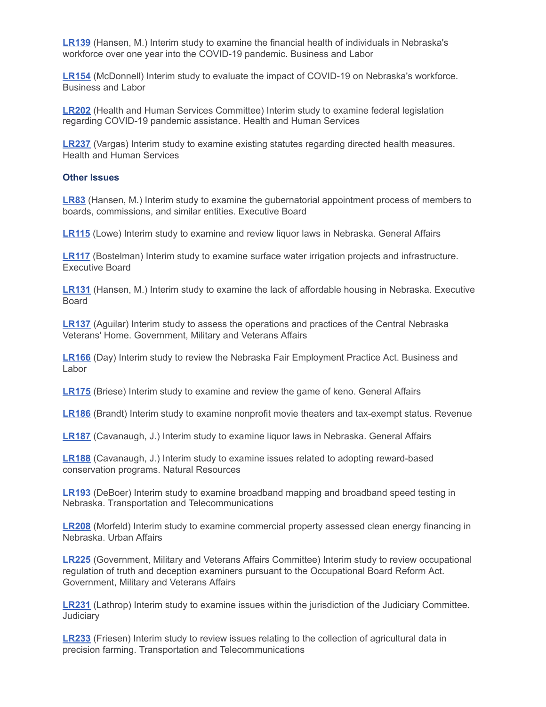**[LR139](https://nebraskalegislature.gov/bills/view_bill.php?DocumentID=46291)** (Hansen, M.) Interim study to examine the financial health of individuals in Nebraska's workforce over one year into the COVID-19 pandemic. Business and Labor

**[LR154](https://nebraskalegislature.gov/bills/view_bill.php?DocumentID=43960)** (McDonnell) Interim study to evaluate the impact of COVID-19 on Nebraska's workforce. Business and Labor

**[LR202](https://nebraskalegislature.gov/bills/view_bill.php?DocumentID=46430)** (Health and Human Services Committee) Interim study to examine federal legislation regarding COVID-19 pandemic assistance. Health and Human Services

**[LR237](https://nebraskalegislature.gov/bills/view_bill.php?DocumentID=46450)** (Vargas) Interim study to examine existing statutes regarding directed health measures. Health and Human Services

#### **Other Issues**

**[LR83](https://nebraskalegislature.gov/bills/view_bill.php?DocumentID=45505)** (Hansen, M.) Interim study to examine the gubernatorial appointment process of members to boards, commissions, and similar entities. Executive Board

**[LR115](https://nebraskalegislature.gov/bills/view_bill.php?DocumentID=45917)** (Lowe) Interim study to examine and review liquor laws in Nebraska. General Affairs

**[LR117](https://nebraskalegislature.gov/bills/view_bill.php?DocumentID=45960)** (Bostelman) Interim study to examine surface water irrigation projects and infrastructure. Executive Board

**[LR131](https://nebraskalegislature.gov/bills/view_bill.php?DocumentID=46159)** (Hansen, M.) Interim study to examine the lack of affordable housing in Nebraska. Executive Board

**[LR137](https://nebraskalegislature.gov/bills/view_bill.php?DocumentID=45871)** (Aguilar) Interim study to assess the operations and practices of the Central Nebraska Veterans' Home. Government, Military and Veterans Affairs

**[LR166](https://nebraskalegislature.gov/bills/view_bill.php?DocumentID=46426)** (Day) Interim study to review the Nebraska Fair Employment Practice Act. Business and Labor

**[LR175](https://nebraskalegislature.gov/bills/view_bill.php?DocumentID=46409)** (Briese) Interim study to examine and review the game of keno. General Affairs

**[LR186](https://nebraskalegislature.gov/bills/view_bill.php?DocumentID=46398)** (Brandt) Interim study to examine nonprofit movie theaters and tax-exempt status. Revenue

**[LR187](https://nebraskalegislature.gov/bills/view_bill.php?DocumentID=46325)** (Cavanaugh, J.) Interim study to examine liquor laws in Nebraska. General Affairs

**[LR188](https://nebraskalegislature.gov/bills/view_bill.php?DocumentID=46422)** (Cavanaugh, J.) Interim study to examine issues related to adopting reward-based conservation programs. Natural Resources

**[LR193](https://nebraskalegislature.gov/bills/view_bill.php?DocumentID=46442)** (DeBoer) Interim study to examine broadband mapping and broadband speed testing in Nebraska. Transportation and Telecommunications

**[LR208](https://nebraskalegislature.gov/bills/view_bill.php?DocumentID=46418)** (Morfeld) Interim study to examine commercial property assessed clean energy financing in Nebraska. Urban Affairs

**[LR225](https://nebraskalegislature.gov/bills/view_bill.php?DocumentID=46428)** (Government, Military and Veterans Affairs Committee) Interim study to review occupational regulation of truth and deception examiners pursuant to the Occupational Board Reform Act. Government, Military and Veterans Affairs

**[LR231](https://nebraskalegislature.gov/bills/view_bill.php?DocumentID=46441)** (Lathrop) Interim study to examine issues within the jurisdiction of the Judiciary Committee. **Judiciary** 

**[LR233](https://nebraskalegislature.gov/bills/view_bill.php?DocumentID=46461)** (Friesen) Interim study to review issues relating to the collection of agricultural data in precision farming. Transportation and Telecommunications